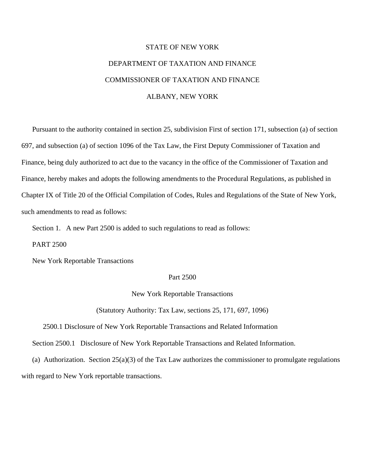## STATE OF NEW YORK DEPARTMENT OF TAXATION AND FINANCE COMMISSIONER OF TAXATION AND FINANCE ALBANY, NEW YORK

 Pursuant to the authority contained in section 25, subdivision First of section 171, subsection (a) of section 697, and subsection (a) of section 1096 of the Tax Law, the First Deputy Commissioner of Taxation and Finance, being duly authorized to act due to the vacancy in the office of the Commissioner of Taxation and Finance, hereby makes and adopts the following amendments to the Procedural Regulations, as published in Chapter IX of Title 20 of the Official Compilation of Codes, Rules and Regulations of the State of New York, such amendments to read as follows:

Section 1. A new Part 2500 is added to such regulations to read as follows:

PART 2500

New York Reportable Transactions

## Part 2500

New York Reportable Transactions

(Statutory Authority: Tax Law, sections 25, 171, 697, 1096)

2500.1 Disclosure of New York Reportable Transactions and Related Information

Section 2500.1 Disclosure of New York Reportable Transactions and Related Information.

 (a) Authorization. Section 25(a)(3) of the Tax Law authorizes the commissioner to promulgate regulations with regard to New York reportable transactions.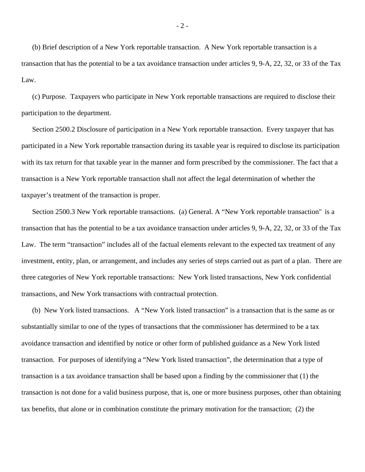(b) Brief description of a New York reportable transaction. A New York reportable transaction is a transaction that has the potential to be a tax avoidance transaction under articles 9, 9-A, 22, 32, or 33 of the Tax Law.

 (c) Purpose. Taxpayers who participate in New York reportable transactions are required to disclose their participation to the department.

 Section 2500.2 Disclosure of participation in a New York reportable transaction. Every taxpayer that has participated in a New York reportable transaction during its taxable year is required to disclose its participation with its tax return for that taxable year in the manner and form prescribed by the commissioner. The fact that a transaction is a New York reportable transaction shall not affect the legal determination of whether the taxpayer's treatment of the transaction is proper.

 Section 2500.3 New York reportable transactions. (a) General. A "New York reportable transaction" is a transaction that has the potential to be a tax avoidance transaction under articles 9, 9-A, 22, 32, or 33 of the Tax Law. The term "transaction" includes all of the factual elements relevant to the expected tax treatment of any investment, entity, plan, or arrangement, and includes any series of steps carried out as part of a plan. There are three categories of New York reportable transactions: New York listed transactions, New York confidential transactions, and New York transactions with contractual protection.

 (b) New York listed transactions. A "New York listed transaction" is a transaction that is the same as or substantially similar to one of the types of transactions that the commissioner has determined to be a tax avoidance transaction and identified by notice or other form of published guidance as a New York listed transaction. For purposes of identifying a "New York listed transaction", the determination that a type of transaction is a tax avoidance transaction shall be based upon a finding by the commissioner that (1) the transaction is not done for a valid business purpose, that is, one or more business purposes, other than obtaining tax benefits, that alone or in combination constitute the primary motivation for the transaction; (2) the

- 2 -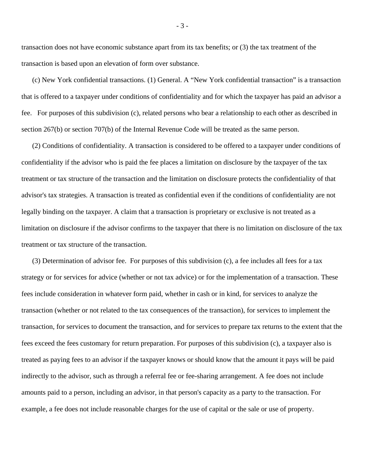transaction does not have economic substance apart from its tax benefits; or (3) the tax treatment of the transaction is based upon an elevation of form over substance.

 (c) New York confidential transactions. (1) General. A "New York confidential transaction" is a transaction that is offered to a taxpayer under conditions of confidentiality and for which the taxpayer has paid an advisor a fee. For purposes of this subdivision (c), related persons who bear a relationship to each other as described in section 267(b) or section 707(b) of the Internal Revenue Code will be treated as the same person.

 (2) Conditions of confidentiality. A transaction is considered to be offered to a taxpayer under conditions of confidentiality if the advisor who is paid the fee places a limitation on disclosure by the taxpayer of the tax treatment or tax structure of the transaction and the limitation on disclosure protects the confidentiality of that advisor's tax strategies. A transaction is treated as confidential even if the conditions of confidentiality are not legally binding on the taxpayer. A claim that a transaction is proprietary or exclusive is not treated as a limitation on disclosure if the advisor confirms to the taxpayer that there is no limitation on disclosure of the tax treatment or tax structure of the transaction.

 (3) Determination of advisor fee. For purposes of this subdivision (c), a fee includes all fees for a tax strategy or for services for advice (whether or not tax advice) or for the implementation of a transaction. These fees include consideration in whatever form paid, whether in cash or in kind, for services to analyze the transaction (whether or not related to the tax consequences of the transaction), for services to implement the transaction, for services to document the transaction, and for services to prepare tax returns to the extent that the fees exceed the fees customary for return preparation. For purposes of this subdivision (c), a taxpayer also is treated as paying fees to an advisor if the taxpayer knows or should know that the amount it pays will be paid indirectly to the advisor, such as through a referral fee or fee-sharing arrangement. A fee does not include amounts paid to a person, including an advisor, in that person's capacity as a party to the transaction. For example, a fee does not include reasonable charges for the use of capital or the sale or use of property.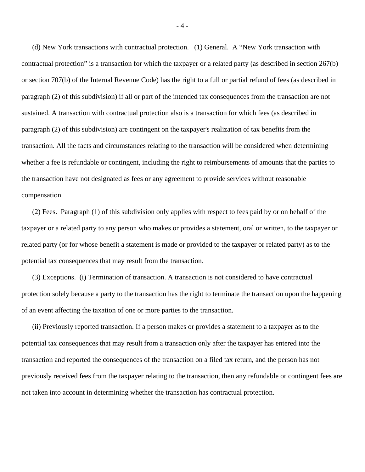(d) New York transactions with contractual protection. (1) General. A "New York transaction with contractual protection" is a transaction for which the taxpayer or a related party (as described in section 267(b) or section 707(b) of the Internal Revenue Code) has the right to a full or partial refund of fees (as described in paragraph (2) of this subdivision) if all or part of the intended tax consequences from the transaction are not sustained. A transaction with contractual protection also is a transaction for which fees (as described in paragraph (2) of this subdivision) are contingent on the taxpayer's realization of tax benefits from the transaction. All the facts and circumstances relating to the transaction will be considered when determining whether a fee is refundable or contingent, including the right to reimbursements of amounts that the parties to the transaction have not designated as fees or any agreement to provide services without reasonable compensation.

 (2) Fees. Paragraph (1) of this subdivision only applies with respect to fees paid by or on behalf of the taxpayer or a related party to any person who makes or provides a statement, oral or written, to the taxpayer or related party (or for whose benefit a statement is made or provided to the taxpayer or related party) as to the potential tax consequences that may result from the transaction.

 (3) Exceptions. (i) Termination of transaction. A transaction is not considered to have contractual protection solely because a party to the transaction has the right to terminate the transaction upon the happening of an event affecting the taxation of one or more parties to the transaction.

 (ii) Previously reported transaction. If a person makes or provides a statement to a taxpayer as to the potential tax consequences that may result from a transaction only after the taxpayer has entered into the transaction and reported the consequences of the transaction on a filed tax return, and the person has not previously received fees from the taxpayer relating to the transaction, then any refundable or contingent fees are not taken into account in determining whether the transaction has contractual protection.

- 4 -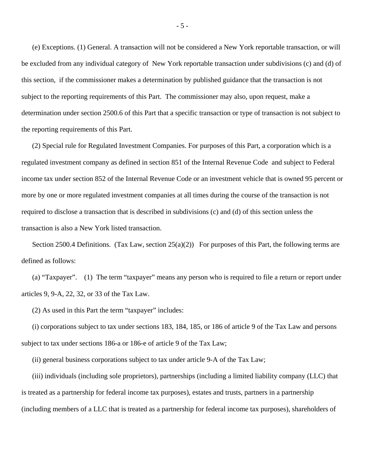(e) Exceptions. (1) General. A transaction will not be considered a New York reportable transaction, or will be excluded from any individual category of New York reportable transaction under subdivisions (c) and (d) of this section, if the commissioner makes a determination by published guidance that the transaction is not subject to the reporting requirements of this Part. The commissioner may also, upon request, make a determination under section 2500.6 of this Part that a specific transaction or type of transaction is not subject to the reporting requirements of this Part.

 (2) Special rule for Regulated Investment Companies. For purposes of this Part, a corporation which is a regulated investment company as defined in section 851 of the Internal Revenue Code and subject to Federal income tax under section 852 of the Internal Revenue Code or an investment vehicle that is owned 95 percent or more by one or more regulated investment companies at all times during the course of the transaction is not required to disclose a transaction that is described in subdivisions (c) and (d) of this section unless the transaction is also a New York listed transaction.

Section 2500.4 Definitions. (Tax Law, section  $25(a)(2)$ ) For purposes of this Part, the following terms are defined as follows:

 (a) "Taxpayer". (1) The term "taxpayer" means any person who is required to file a return or report under articles 9, 9-A, 22, 32, or 33 of the Tax Law.

(2) As used in this Part the term "taxpayer" includes:

 (i) corporations subject to tax under sections 183, 184, 185, or 186 of article 9 of the Tax Law and persons subject to tax under sections 186-a or 186-e of article 9 of the Tax Law;

(ii) general business corporations subject to tax under article 9-A of the Tax Law;

 (iii) individuals (including sole proprietors), partnerships (including a limited liability company (LLC) that is treated as a partnership for federal income tax purposes), estates and trusts, partners in a partnership (including members of a LLC that is treated as a partnership for federal income tax purposes), shareholders of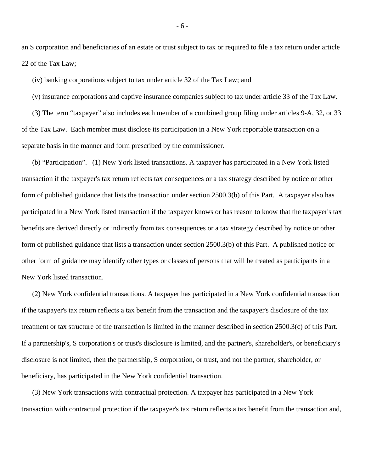an S corporation and beneficiaries of an estate or trust subject to tax or required to file a tax return under article 22 of the Tax Law;

(iv) banking corporations subject to tax under article 32 of the Tax Law; and

(v) insurance corporations and captive insurance companies subject to tax under article 33 of the Tax Law.

 (3) The term "taxpayer" also includes each member of a combined group filing under articles 9-A, 32, or 33 of the Tax Law. Each member must disclose its participation in a New York reportable transaction on a separate basis in the manner and form prescribed by the commissioner.

 (b) "Participation". (1) New York listed transactions. A taxpayer has participated in a New York listed transaction if the taxpayer's tax return reflects tax consequences or a tax strategy described by notice or other form of published guidance that lists the transaction under section 2500.3(b) of this Part. A taxpayer also has participated in a New York listed transaction if the taxpayer knows or has reason to know that the taxpayer's tax benefits are derived directly or indirectly from tax consequences or a tax strategy described by notice or other form of published guidance that lists a transaction under section 2500.3(b) of this Part. A published notice or other form of guidance may identify other types or classes of persons that will be treated as participants in a New York listed transaction.

 (2) New York confidential transactions. A taxpayer has participated in a New York confidential transaction if the taxpayer's tax return reflects a tax benefit from the transaction and the taxpayer's disclosure of the tax treatment or tax structure of the transaction is limited in the manner described in section 2500.3(c) of this Part. If a partnership's, S corporation's or trust's disclosure is limited, and the partner's, shareholder's, or beneficiary's disclosure is not limited, then the partnership, S corporation, or trust, and not the partner, shareholder, or beneficiary, has participated in the New York confidential transaction.

 (3) New York transactions with contractual protection. A taxpayer has participated in a New York transaction with contractual protection if the taxpayer's tax return reflects a tax benefit from the transaction and,

- 6 -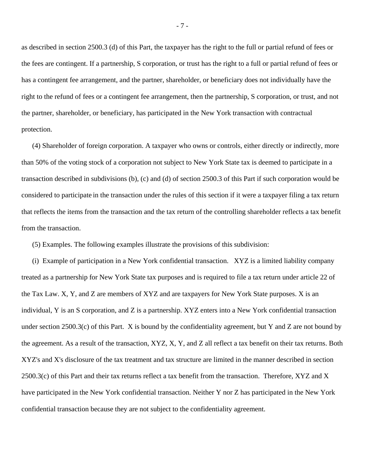as described in section 2500.3 (d) of this Part, the taxpayer has the right to the full or partial refund of fees or the fees are contingent. If a partnership, S corporation, or trust has the right to a full or partial refund of fees or has a contingent fee arrangement, and the partner, shareholder, or beneficiary does not individually have the right to the refund of fees or a contingent fee arrangement, then the partnership, S corporation, or trust, and not the partner, shareholder, or beneficiary, has participated in the New York transaction with contractual protection.

 (4) Shareholder of foreign corporation. A taxpayer who owns or controls, either directly or indirectly, more than 50% of the voting stock of a corporation not subject to New York State tax is deemed to participate in a transaction described in subdivisions (b), (c) and (d) of section 2500.3 of this Part if such corporation would be considered to participate in the transaction under the rules of this section if it were a taxpayer filing a tax return that reflects the items from the transaction and the tax return of the controlling shareholder reflects a tax benefit from the transaction.

(5) Examples. The following examples illustrate the provisions of this subdivision:

 (i) Example of participation in a New York confidential transaction. XYZ is a limited liability company treated as a partnership for New York State tax purposes and is required to file a tax return under article 22 of the Tax Law. X, Y, and Z are members of XYZ and are taxpayers for New York State purposes. X is an individual, Y is an S corporation, and Z is a partnership. XYZ enters into a New York confidential transaction under section 2500.3(c) of this Part. X is bound by the confidentiality agreement, but Y and Z are not bound by the agreement. As a result of the transaction, XYZ, X, Y, and Z all reflect a tax benefit on their tax returns. Both XYZ's and X's disclosure of the tax treatment and tax structure are limited in the manner described in section 2500.3(c) of this Part and their tax returns reflect a tax benefit from the transaction. Therefore, XYZ and X have participated in the New York confidential transaction. Neither Y nor Z has participated in the New York confidential transaction because they are not subject to the confidentiality agreement.

- 7 -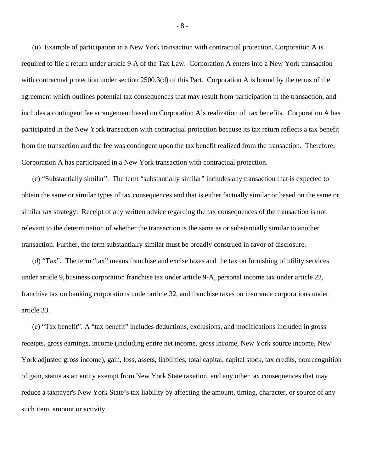(ii) Example of participation in a New York transaction with contractual protection. Corporation A is required to file a return under article 9-A of the Tax Law. Corporation A enters into a New York transaction with contractual protection under section 2500.3(d) of this Part. Corporation A is bound by the terms of the agreement which outlines potential tax consequences that may result from participation in the transaction, and includes a contingent fee arrangement based on Corporation A's realization of tax benefits. Corporation A has participated in the New York transaction with contractual protection because its tax return reflects a tax benefit from the transaction and the fee was contingent upon the tax benefit realized from the transaction. Therefore, Corporation A has participated in a New York transaction with contractual protection.

 (c) "Substantially similar". The term "substantially similar" includes any transaction that is expected to obtain the same or similar types of tax consequences and that is either factually similar or based on the same or similar tax strategy. Receipt of any written advice regarding the tax consequences of the transaction is not relevant to the determination of whether the transaction is the same as or substantially similar to another transaction. Further, the term substantially similar must be broadly construed in favor of disclosure.

 (d) "Tax". The term "tax" means franchise and excise taxes and the tax on furnishing of utility services under article 9, business corporation franchise tax under article 9-A, personal income tax under article 22, franchise tax on banking corporations under article 32, and franchise taxes on insurance corporations under article 33.

 (e) "Tax benefit". A "tax benefit" includes deductions, exclusions, and modifications included in gross receipts, gross earnings, income (including entire net income, gross income, New York source income, New York adjusted gross income), gain, loss, assets, liabilities, total capital, capital stock, tax credits, nonrecognition of gain, status as an entity exempt from New York State taxation, and any other tax consequences that may reduce a taxpayer's New York State's tax liability by affecting the amount, timing, character, or source of any such item, amount or activity.

- 8 -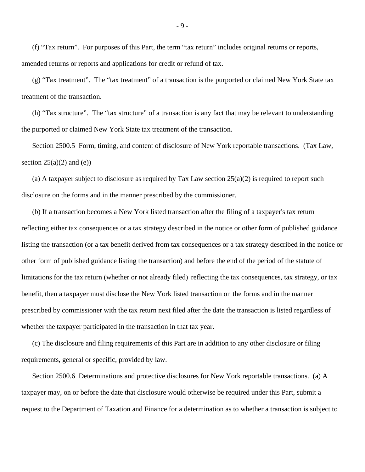(f) "Tax return". For purposes of this Part, the term "tax return" includes original returns or reports, amended returns or reports and applications for credit or refund of tax.

 (g) "Tax treatment". The "tax treatment" of a transaction is the purported or claimed New York State tax treatment of the transaction.

 (h) "Tax structure". The "tax structure" of a transaction is any fact that may be relevant to understanding the purported or claimed New York State tax treatment of the transaction.

 Section 2500.5 Form, timing, and content of disclosure of New York reportable transactions. (Tax Law, section  $25(a)(2)$  and (e))

(a) A taxpayer subject to disclosure as required by Tax Law section  $25(a)(2)$  is required to report such disclosure on the forms and in the manner prescribed by the commissioner.

 (b) If a transaction becomes a New York listed transaction after the filing of a taxpayer's tax return reflecting either tax consequences or a tax strategy described in the notice or other form of published guidance listing the transaction (or a tax benefit derived from tax consequences or a tax strategy described in the notice or other form of published guidance listing the transaction) and before the end of the period of the statute of limitations for the tax return (whether or not already filed) reflecting the tax consequences, tax strategy, or tax benefit, then a taxpayer must disclose the New York listed transaction on the forms and in the manner prescribed by commissioner with the tax return next filed after the date the transaction is listed regardless of whether the taxpayer participated in the transaction in that tax year.

 (c) The disclosure and filing requirements of this Part are in addition to any other disclosure or filing requirements, general or specific, provided by law.

 Section 2500.6 Determinations and protective disclosures for New York reportable transactions. (a) A taxpayer may, on or before the date that disclosure would otherwise be required under this Part, submit a request to the Department of Taxation and Finance for a determination as to whether a transaction is subject to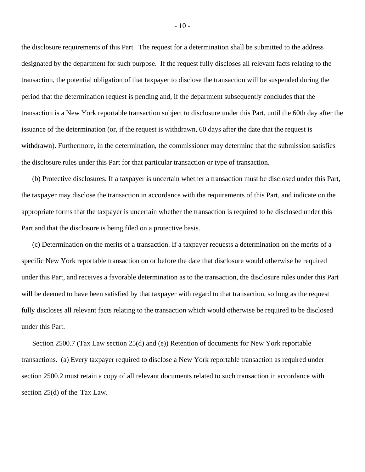the disclosure requirements of this Part. The request for a determination shall be submitted to the address designated by the department for such purpose. If the request fully discloses all relevant facts relating to the transaction, the potential obligation of that taxpayer to disclose the transaction will be suspended during the period that the determination request is pending and, if the department subsequently concludes that the transaction is a New York reportable transaction subject to disclosure under this Part, until the 60th day after the issuance of the determination (or, if the request is withdrawn, 60 days after the date that the request is withdrawn). Furthermore, in the determination, the commissioner may determine that the submission satisfies the disclosure rules under this Part for that particular transaction or type of transaction.

 (b) Protective disclosures. If a taxpayer is uncertain whether a transaction must be disclosed under this Part, the taxpayer may disclose the transaction in accordance with the requirements of this Part, and indicate on the appropriate forms that the taxpayer is uncertain whether the transaction is required to be disclosed under this Part and that the disclosure is being filed on a protective basis.

 (c) Determination on the merits of a transaction. If a taxpayer requests a determination on the merits of a specific New York reportable transaction on or before the date that disclosure would otherwise be required under this Part, and receives a favorable determination as to the transaction, the disclosure rules under this Part will be deemed to have been satisfied by that taxpayer with regard to that transaction, so long as the request fully discloses all relevant facts relating to the transaction which would otherwise be required to be disclosed under this Part.

 Section 2500.7 (Tax Law section 25(d) and (e)) Retention of documents for New York reportable transactions. (a) Every taxpayer required to disclose a New York reportable transaction as required under section 2500.2 must retain a copy of all relevant documents related to such transaction in accordance with section 25(d) of the Tax Law.

- 10 -